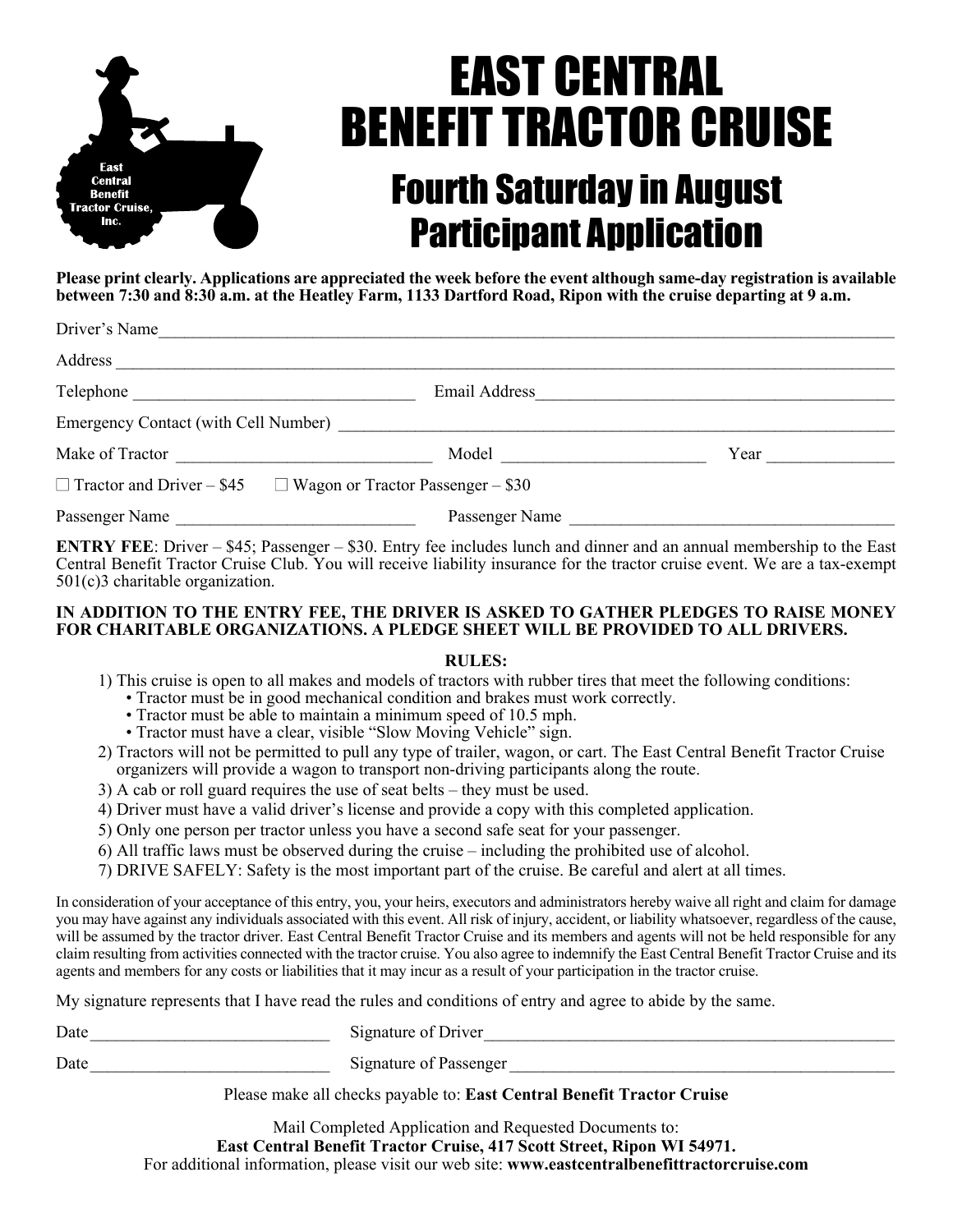

## EAST CENTRAL BENEFIT TRACTOR CRUISE Fourth Saturday in August Participant Application

**Please print clearly. Applications are appreciated the week before the event although same-day registration is available between 7:30 and 8:30 a.m. at the Heatley Farm, 1133 Dartford Road, Ripon with the cruise departing at 9 a.m.** 

| Driver's Name                                                                                                                                                                                                                        |                                                                                                                                                                                                                               |      |
|--------------------------------------------------------------------------------------------------------------------------------------------------------------------------------------------------------------------------------------|-------------------------------------------------------------------------------------------------------------------------------------------------------------------------------------------------------------------------------|------|
| Address                                                                                                                                                                                                                              |                                                                                                                                                                                                                               |      |
|                                                                                                                                                                                                                                      | Email Address                                                                                                                                                                                                                 |      |
|                                                                                                                                                                                                                                      |                                                                                                                                                                                                                               |      |
| Make of Tractor <b>Exercise 2.1 August 2.1 August 2.1 August 2.1 August 2.1 August 2.1 August 2.1 August 2.1 August 2.1 August 2.1 August 2.1 August 2.1 August 2.1 August 2.1 August 2.1 August 2.1 August 2.1 August 2.1 Augus</b> | Model and the contract of the contract of the contract of the contract of the contract of the contract of the contract of the contract of the contract of the contract of the contract of the contract of the contract of the | Year |
|                                                                                                                                                                                                                                      | $\Box$ Tractor and Driver – \$45 $\Box$ Wagon or Tractor Passenger – \$30                                                                                                                                                     |      |
| Passenger Name                                                                                                                                                                                                                       | Passenger Name                                                                                                                                                                                                                |      |

**ENTRY FEE**: Driver – \$45; Passenger – \$30. Entry fee includes lunch and dinner and an annual membership to the East Central Benefit Tractor Cruise Club. You will receive liability insurance for the tractor cruise event. We are a tax-exempt 501(c)3 charitable organization.

## **IN ADDITION TO THE ENTRY FEE, THE DRIVER IS ASKED TO GATHER PLEDGES TO RAISE MONEY FOR CHARITABLE ORGANIZATIONS. A PLEDGE SHEET WILL BE PROVIDED TO ALL DRIVERS.**

## **RULES:**

- 1) This cruise is open to all makes and models of tractors with rubber tires that meet the following conditions:
	- Tractor must be in good mechanical condition and brakes must work correctly.
	- Tractor must be able to maintain a minimum speed of 10.5 mph.
	- Tractor must have a clear, visible "Slow Moving Vehicle" sign.
- 2) Tractors will not be permitted to pull any type of trailer, wagon, or cart. The East Central Benefit Tractor Cruise organizers will provide a wagon to transport non-driving participants along the route.
- 3) A cab or roll guard requires the use of seat belts they must be used.
- 4) Driver must have a valid driver's license and provide a copy with this completed application.
- 5) Only one person per tractor unless you have a second safe seat for your passenger.
- 6) All traffic laws must be observed during the cruise including the prohibited use of alcohol.
- 7) DRIVE SAFELY: Safety is the most important part of the cruise. Be careful and alert at all times.

In consideration of your acceptance of this entry, you, your heirs, executors and administrators hereby waive all right and claim for damage you may have against any individuals associated with this event. All risk of injury, accident, or liability whatsoever, regardless of the cause, will be assumed by the tractor driver. East Central Benefit Tractor Cruise and its members and agents will not be held responsible for any claim resulting from activities connected with the tractor cruise. You also agree to indemnify the East Central Benefit Tractor Cruise and its agents and members for any costs or liabilities that it may incur as a result of your participation in the tractor cruise.

My signature represents that I have read the rules and conditions of entry and agree to abide by the same.

Date\_\_\_\_\_\_\_\_\_\_\_\_\_\_\_\_\_\_\_\_\_\_\_\_\_\_\_\_ Signature of Driver\_\_\_\_\_\_\_\_\_\_\_\_\_\_\_\_\_\_\_\_\_\_\_\_\_\_\_\_\_\_\_\_\_\_\_\_\_\_\_\_\_\_\_\_\_\_\_\_

Date\_\_\_\_\_\_\_\_\_\_\_\_\_\_\_\_\_\_\_\_\_\_\_\_\_\_\_\_ Signature of Passenger \_\_\_\_\_\_\_\_\_\_\_\_\_\_\_\_\_\_\_\_\_\_\_\_\_\_\_\_\_\_\_\_\_\_\_\_\_\_\_\_\_\_\_\_\_

Please make all checks payable to: **East Central Benefit Tractor Cruise**

Mail Completed Application and Requested Documents to: **East Central Benefit Tractor Cruise, 417 Scott Street, Ripon WI 54971.** For additional information, please visit our web site: **www.eastcentralbenefittractorcruise.com**